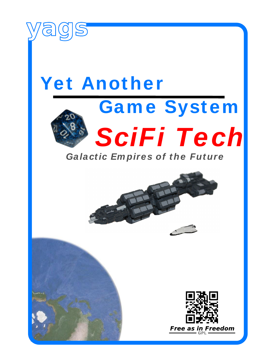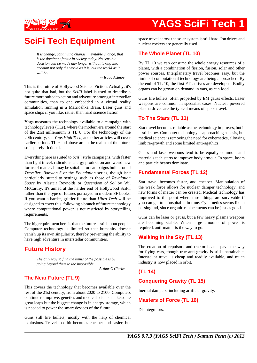

## **SciFi Tech Equipment**

*It is change, continuing change, inevitable change, that is the dominant factor in society today. No sensible decision can be made any longer without taking into account not only the world as it is, but the world as it will be.*

*-- Isaac Asimov*

This is the future of Hollywood Science Fiction. Actually, it's not quite that bad, but the *SciFi* label is used to describe a future more suited to action and adventure amongst interstellar communities, than to one embedded in a virtual reality simulation running in a Matrioshka Brain. Laser guns and space ships if you like, rather than hard science fiction.

**Yags** measures the technology available to a campaign with technology levels (TLs), where the modern era around the start of the 21st millennium is TL 8. For the technology of the 20th century, see *Yags High Tech*, and other articles will cover earlier periods. TL 9 and above are in the realms of the future, so is purely fictional.

Everything here is suited to *SciFi* style campaigns, with faster than light travel, ridiculous energy production and weird new forms of matter. It may be suitable for campaigns built around *Traveller*, *Babylon 5* or the *Foundation* series, though isn't particularly suited to settings such as those of *Revalation Space* by Alastair Reynolds or *Queendom of Sol* by Wil McCarthy. It's aimed at the harder end of Hollywood SciFi, rather than the type of futures portrayed in modern SF books. If you want a harder, grittier future than *Ultra Tech* will be designed to cover this, following a branch of future technology where computational power is not restricted by storytelling requirements.

The big requirement here is that the future is still about people. Computer technology is limited so that humanity doesn't vanish up its own singularity, thereby preventing the ability to have high adventure in interstellar communities.

## **Future History**

*The only way to find the limits of the possible is by going beyond them to the impossible.*

*-- Arthur C Clarke*

## **The Near Future (TL 9)**

This covers the technology that becomes available over the rest of the 21st century, from about 2020 to 2100. Computers continue to improve, genetics and medical science make some great leaps but the biggest change is in energy storage, which is needed to power the smart devices of the future.

Guns still fire bullets, mostly with the help of chemical explosions. Travel to orbit becomes cheaper and easier, but space travel across the solar system is still hard. Ion drives and nuclear rockets are generally used.

### **The Whole Planet (TL 10)**

By TL 10 we can consume the whole energy resources of a planet, with a combination of fission, fusion, solar and other power sources. Interplanetary travel becomes easy, but the limits of computational technology are being approached. By the end of TL 10, the first FTL drives are developed. Bodily organs can be grown on demand in vats, as can food.

Guns fire bullets, often propelled by EM gauss effects. Laser weapons are common in specialist cases. Nuclear powered plasma drives are the typical means of space travel.

## **To The Stars (TL 11)**

Star travel becomes reliable as the technology improves, but it is still slow. Computer technology is approaching a stasis, but medical science is removing the need for cybernetics, allowing limb re-growth and some limited anti-agathics.

Gauss and laser weapons tend to be equally common, and materials tech starts to improve body armour. In space, lasers and particle beams dominate.

## **Fundamental Forces (TL 12)**

Star travel becomes faster, and cheaper. Manipulation of the weak force allows for nuclear damper technology, and new forms of matter can be created. Medical technology has improved to the point where most things are survivable if you can get to a hospitable in time. Cybernetics seems like a passing fad, since organic replacements can be just as good.

Guns can be laser or gauss, but a few heavy plasma weapons are becoming viable. When large amounts of power is required, anti-matter is the way to go.

## **Walking in the Sky (TL 13)**

The creation of repulsors and tractor beams pave the way for flying cars, though true anti-gravity is still unattainable. Interstellar travel is cheap and readily available, and much industry is now placed in orbit.

## **(TL 14)**

## **Conquering Gravity (TL 15)**

Inertial dampers, including artificial gravity.

#### **Masters of Force (TL 16)**

Disintegrators.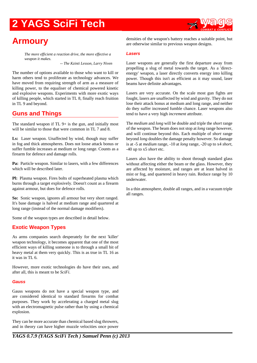

## **Armoury**

*The more efficient a reaction drive, the more effective a weapon it makes.*

*-- The Kzinti Lesson, Larry Niven*

The number of options available to those who want to kill or harm others tend to proliferate as technology advances. We have moved from requiring strength of arm as a measure of killing power, to the equaliser of chemical powered kinetic and explosive weapons. Experiments with more exotic ways of killing people, which started in TL 8, finally reach fruition in TL 9 and beyond.

## **Guns and Things**

The standard weapon if  $TL$  9+ is the gun, and initially most will be similar to those that were common in TL 7 and 8.

**Ls:** Laser weapon. Unaffected by wind, though may suffer in fog and thick atmospheres. Does not loose attack bonus or suffer fumble increases at medium or long range. Counts as a firearm for defence and damage rolls.

Pa: Particle weapon. Similar to lasers, with a few differences which will be described later.

**Pl:** Plasma weapon. Fires bolts of superheated plasma which burns through a target explosively. Doesn't count as a firearm against armour, but does for defence rolls.

**So:** Sonic weapon, ignores all armour but very short ranged. It's base damage is halved at medium range and quartered at long range (instead of the normal damage modifiers).

Some of the weapon types are described in detail below.

### **Exotic Weapon Types**

As arms companies search desperately for the next 'killer' weapon technology, it becomes apparent that one of the most efficient ways of killing someone is to through a small bit of heavy metal at them very quickly. This is as true in TL 16 as it was in TL 6.

However, more exotic technologies do have their uses, and after all, this is meant to be *SciFi*.

#### **Gauss**

Gauss weapons do not have a special weapon type, and are considered identical to standard firearms for combat purposes. They work by accelerating a charged metal slug with an electromagnetic pulse rather than by using a chemical explosion.

They can be more accurate than chemical based slug throwers, and in theory can have higher muzzle velocities once power

#### **Lasers**

Laser weapons are generally the first departure away from propelling a slug of metal towards the target. As a 'directenergy' weapon, a laser directly converts energy into killing power. Though this isn't as efficient as it may sound, laser beams have definite advantages.

Lasers are very accurate. On the scale most gun fights are fought, lasers are unaffected by wind and gravity. They do not lose their attack bonus at medium and long range, and neither do they suffer increased fumble chance. Laser weapons also tend to have a very high *increment* attribute.

The *medium* and *long* will be double and triple the *short* range of the weapon. The beam does not stop at *long* range however, and will continue beyond this. Each multiple of *short* range beyond *long* doubles the damage penalty however. So damage is at -5 at *medium* range, -10 at *long* range, -20 up to x4 *short*, -40 up to x5 *short* etc.

Lasers also have the ability to shoot through standard glass without affecting either the beam or the glass. However, they are affected by moisture, and ranges are at least halved in mist or fog, and quartered in heavy rain. Reduce range by 10 underwater.

In a thin atmosphere, double all ranges, and in a vacuum triple all ranges.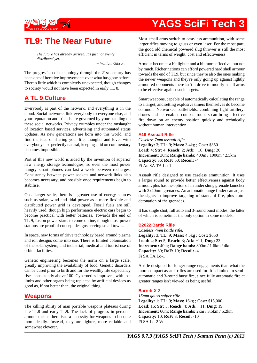

## **TL9: The Near Future**

*The future has already arrived. It's just not evenly distributed yet.*

*-- William Gibson*

The progression of technology through the 21st century has been one of iterative improvements over what has gone before. There's little which is completely unexpected, though changes to society would not have been expected in early TL 8.

## **A TL 9 Culture**

Everybody is part of the network, and everything is in the cloud. Social networks link everybody to everyone else, and your reputation and friends are governed by your standing on these social networks. Privacy crumbles under the onslaught of location based services, advertising and automated status updates. As new generations are born into this world, and find the idea of sharing your life, thoughts and loves with everybody else perfectly natural, keeping a lid on commentary becomes impossible.

Part of this new world is aided by the invention of superior new energy storage technologies, so even the most power hungry smart phones can last a week between recharges. Consistency between power sockets and network links also becomes necessary, and possible once requirements begin to stabilise.

On a larger scale, there is a greater use of energy sources such as solar, wind and tidal power as a more flexible and distributed power grid is developed. Fossil fuels are still heavily used, though high performance electric cars begin to become practical with better batteries. Towards the end of TL 9, fusion power starts to come online, though most power stations are proof of concept designs serving small towns.

In space, new forms of drive technology based around plasma and ion designs come into use. There is limited colonisation of the solar system, and industrial, medical and tourist use of orbital facilities.

Genetic engineering becomes the norm on a large scale, greatly improving the availability of food. Genetic disorders can be cured prior to birth and for the wealthy life expectancy rises consistently above 100. Cybernetics improves, with lost limbs and other organs being replaced by artificial devices as good as, if not better than, the original thing.

## **Weapons**

The killing ability of man portable weapons plateaus during late TL8 and early TL9. The lack of progress in personal armour means there isn't a necessity for weapons to become more deadly. Instead, they are lighter, more reliable and somewhat cleverer.

Most small arms switch to case-less ammunition, with some larger rifles moving to gauss or even laser. For the most part, the good old chemical powered slug thrower is still the most efficient in terms of weight, cost and effectiveness.

Armour becomes a bit lighter and a bit more effective, but not by much. Richer nations can afford powered hard shell armour towards the end of TL9, but since they're also the ones making the newer weapons and they're only going up against lightly armoured opponents there isn't a drive to modify small arms to be effective against such targets.

Smart weapons, capable of automatically calculating the range to a target, and setting explosive timers themselves do become common. Networked battlefields, combining light artillery, drones and net-enabled combat troopers can bring effective fire down on an enemy position quickly and technically without human intervention.

#### **A19 Assualt Rifle**

*Caseless 7mm assault rifle.* **Legality:** 3; **TL:** 9; **Mass:** 3.4kg ; **Cost:** \$350 **Load:** 4; **Str:** 4; **Reach:** 2; **Atk:** +10; **Dmg:** 20 **Increment:** 30m; **Range bands:** 400m / 1000m / 2.5km **Capacity:** 36; **RoF:** 50; **Recoil:** -4 Fi Au SA TA Lo-1

Assault rifle designed to use caseless ammunition. It uses a larger round to provide better effectiveness against body armour, plus has the option of an under slung grenade launcher with 3x40mm grenades. An automatic range finder can adjust the sights to improve targeting of standard fire, plus autodetonation of the grenades.

It has single shot, full auto and 3-round burst modes, the latter of which is sometimes the only option in some models.

#### **B2022 Battle Rifle**

*Caseless 7mm battle rifle.* **Legality:** 3; **TL:** 9; **Mass:** 4.5kg ; **Cost:** \$650 **Load:** 4; **Str:** 5; **Reach:** 3; **Atk:** +11; **Dmg:** 23 **Increment:** 40m; **Range bands:** 800m / 1.6km / 4km **Capacity:** 30; **RoF:** 10; **Recoil:** -4 Fi SA TA Lo-1

A rifle designed for longer range engagements than what the more compact assault rifles are used for. It is limited to semiautomatic and 3-round burst fire, since fully automatic fire at greater ranges isn't viewed as being useful.

#### **Barrett X-2**

*15mm gauss sniper rifle.* **Legality:** 1; **TL:** 9; **Mass:** 16kg ; **Cost:** \$15,000 **Load:** 16; **Str:** 5; **Reach:** 4; **Atk:** +11; **Dmg:** 19 **Increment:** 60m; **Range bands:** 2km / 3.5km / 5.2km **Capacity:** 10; **RoF:** 3; **Recoil:** -10 Fi SA Lo-2 Vc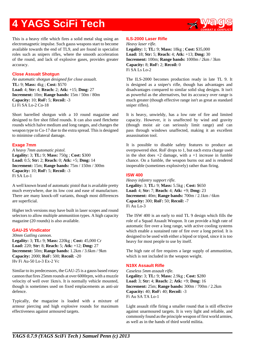

This is a heavy rifle which fires a solid metal slug using an electromagnetic impulse. Such gauss weapons start to become available towards the end of TL9, and are found in specialist roles such as snipers rifles, where the smooth acceleration of the round, and lack of explosive gases, provides greater accuracy.

#### **Close Assualt Shotgun**

*An automatic shotgun designed for close assualt.* **TL:** 9; **Mass:** 4kg ; **Cost:** \$570 **Load:** 4; **Str:** 4; **Reach:** 2; **Atk:** +15; **Dmg:** 27 **Increment:** 10m; **Range bands:** 15m / 50m / 80m **Capacity:** 10; **RoF:** 5; **Recoil:** -3 Li Fi SA Lo-2 Co-18

Short barrelled shotgun with a 10 round magazine and designed to fire shot filled rounds. It can also used fletchette rounds which halve medium and long ranges, and changes the weapon type to Co-17 due to the extra spread. This is designed to minimise collateral damage.

#### **Exage 7mm**

*A heavy 7mm automatic pistol.* **Legality:** 3; **TL:** 9; **Mass:** 750g ; **Cost:** \$300 **Load:** 0.5; **Str:** 2; **Reach:** 0; **Atk:** +5; **Dmg:** 14 **Increment:** 15m; **Range bands:** 75m / 150m / 300m **Capacity:** 10; **RoF:** 5; **Recoil:** -3 Fi SA Lo-1

A well known brand of automatic pistol that is available pretty much everywhere, due its low cost and ease of manufacture. There are many knock-off variants, though most differences are superficial.

Higher tech versions may have built in laser scopes and round selectors to allow multiple ammunition types. A high capacity magazine (20 rounds) is also available.

#### **GAU-25 Vindicator**

*30mm Gatling cannon.* **Legality:** 3; **TL:** 9; **Mass:** 220kg ; **Cost:** 45,000 Cr **Load:** 220; **Str:** 8; **Reach:** 5; **Atk:** +12; **Dmg:** 27 **Increment:** 50m; **Range bands:** 1.2km / 3.6km / 9km **Capacity:** 2000; **RoF:** 500; **Recoil:** -20 Hv Fi Au-50 Lo-3 Ex-2 Vc

Similar to its predecessors, the GAU-25 is a gauss based rotary cannon that fires 25mm rounds at over 6000rpm, with a muzzle velocity of well over 1km/s. It is normally vehicle mounted, though is sometimes used on fixed emplacements as anti-air defence.

Typically, the magazine is loaded with a mixture of armour piercing and high explosive rounds for maximum effectiveness against armoured targets.

#### **ILS-2000 Laser Rifle**

*Heavy laser rifle.* **Legality:** 1; **TL:** 9; **Mass:** 18kg ; **Cost:** \$35,000 **Load:** 18; **Str:** 5; **Reach:** 4; **Atk:** +13; **Dmg:** 30 **Increment:** 100m; **Range bands:** 1000m / 2km / 3km **Capacity:** 8; **RoF:** 2; **Recoil:** 0 Fi SA Ls Lo-2

The ILS-2000 becomes production ready in late TL 9. It is designed as a sniper's rifle, though has advantages and disadvantages compared to similar solid slug designs. It isn't as powerful as the alternatives, but its accuracy over range is much greater (though effective range isn't as great as standard sniper rifles).

It is heavy, unwieldy, has a low rate of fire and limited capacity. However, it is unaffected by wind and gravity (though moist air can seriously limit range) and can pass through windows unaffected, making it an excellent assassination tool.

It is possible to disable safety features to produce an overpowered shot. RoF drops to 1, but each extra charge used in the shot does  $+2$  damage, with a  $+1$  increase in fumble chance. On a fumble, the weapon burns out and is rendered inoperable (sometimes explosively) rather than firing.

#### **ISW 400**

*Heavy infantry support rifle.* **Legality:** 3; **TL:** 9; **Mass:** 5.5kg ; **Cost:** \$650 **Load:** 4; **Str:** 7; **Reach:** 4; **Atk:** +9; **Dmg:** 23 **Increment:** 40m; **Range bands:** 700m / 2.1km / 6km **Capacity:** 300; **RoF:** 50; **Recoil:** -7 Fi Au Lo-3

The ISW 400 is an early to mid TL 9 design which fills the role of a Squad Assault Weapon. It can provide a high rate of automatic fire over a long range, with active cooling systems which enable a sustained rate of fire over a long period. It is designed to be used with either a bipod or tripod, since it is too heavy for most people to use by itself.

The high rate of fire requires a large supply of ammunition, which is not included in the weapon weight.

#### **N19X Assault Rifle**

*Caseless 5mm assault rifle.* **Legality:** 3; **TL:** 9; **Mass:** 2.9kg ; **Cost:** \$280 **Load:** 3; **Str:** 4; **Reach:** 2; **Atk:** +9; **Dmg:** 16 **Increment:** 25m; **Range bands:** 300m / 700m / 2.2km **Capacity:** 40; **RoF:** 40; **Recoil:** -3 Fi Au SA TA Lo-1

Light assault rifle firing a smaller round that is still effective against unarmoured targets. It is very light and reliable, and commonly found as the principle weapon of first world armies, as well as in the hands of third world militia.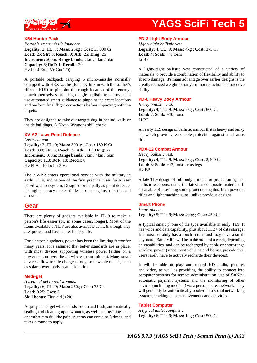

#### **X54 Hunter Pack**

*Portable smart missile launcher.* **Legality:** 2; **TL:** 7; **Mass:** 25kg ; **Cost:** 35,000 Cr **Load:** 25; **Str:** 3; **Reach:** 0; **Atk:** 25; **Dmg:** 25 **Increment:** 500m; **Range bands:** 2km / 4km / 5km **Capacity:** 6; **RoF:** 1; **Recoil:** -20 Hv Lo-4 Ex-2 Vc Gu(C/0)

A portable backpack carrying 6 micro-missiles normally equipped with HEX warheads. They link in with the soldier's rifle or HUD to pinpoint the rough location of the enemy, launch themselves on a high angle ballistic trajectory, then use automated smart guidance to pinpoint the exact locations and perform final flight corrections before impacting with the targets.

They are designed to take out targets dug in behind walls or inside buildings. A *Heavy Weapons* skill check

#### **XV-A2 Laser Point Defence**

*Laser cannon.* **Legality:** 3; **TL:** 9; **Mass:** 300kg ; **Cost:** 150 K Cr **Load:** 300; **Str:** 8; **Reach:** 5; **Atk:** +17; **Dmg:** 22 **Increment:** 100m; **Range bands:** 2km / 4km / 6km **Capacity:** 120; **RoF:** 10; **Recoil:** 0 Hv Fi Au-10 Ls Lo-3 Vc

The XV-A2 enters operational service with the military in early TL 9, and is one of the first practical uses for a laser based weapon system. Designed principally as point defence, it's high accuracy makes it ideal for use against missiles and aircraft.

### **Gear**

There are plenty of gadgets available in TL 9 to make a person's life easier (or, in some cases, longer). Most of the items available at TL 8 are also available at TL 9, though they are quicker and have better battery life.

For electronic gadgets, power has been the limiting factor for many years. It is assumed that better standards are in place, with most devices supporting wireless power (either on a power mat, or over-the-air wireless transmitters). Many small devices allow trickle charge through renewable means, such as solar power, body heat or kinetics.

#### **Medi-gel**

*A medical gel to seal wounds.* **Legality:** 6; **TL:** 9; **Mass:** 250g ; **Cost:** 75 Cr **Load:** 0.25; **Uses:** 3 **Skill bonus:** First aid  $(+20)$ 

A spray can of gel which binds to skin and flesh, automatically sealing and cleaning open wounds, as well as providing local anaesthetic to dull the pain. A spray can contains 3 doses, and takes a round to apply.

#### **PD-3 Light Body Armour**

*Lightweight ballistic vest.* **Legality:** 4; **TL:** 9; **Mass:** 4kg ; **Cost:** 375 Cr **Load:** 4; **Soak:** +7; torso Li BP

A lightweight ballistic vest constructed of a variety of materials to provide a combination of flexibility and ability to absorb damage. It's main advantage over earlier designs is the greatly reduced weight for only a minor reduction in protective ability.

#### **PD-6 Heavy Body Armour**

*Heavy ballistic vest.* **Legality:** 4; **TL:** 9; **Mass:** 7kg ; **Cost:** 600 Cr **Load:** 7; **Soak:** +10; torso Li BP

An early TL9 design of ballistic armour that is heavy and bulky but which provides reasonable protection against small arms fire.

#### **PDX-12 Combat Armour**

*Heavy ballistic vest.* **Legality:** 4; **TL:** 9; **Mass:** 8kg ; **Cost:** 2,400 Cr **Load:** 8; **Soak:** +13; torso arms legs Hv BP

A late TL9 design of full body armour for protection against ballistic weapons, using the latest in composite materials. It is capable of providing some protection against high powered rifles and light machine guns, unlike previous designs.

#### **Smart Phone**

*Smart phone.*

**Legality:** 5; **TL:** 9; **Mass:** 400g ; **Cost:** 450 Cr

A typical smart phone of the type available in early TL9. It has voice and data capability, plus about  $1TB+$  of data storage. It almost certainly has a touch screen and may have a small keyboard. Battery life will be in the order of a week, depending on capabilities, and can be recharged by cable or short-range wireless power (since most vehicles and homes provide this, users rarely have to actively recharge their devices).

It will be able to play and record HD audio, pictures and video, as well as providing the ability to connect into computer systems for remote administration, use of SatNav, automatic payment systems and the monitoring of other devices (including medical) via a personal area network. They will generally be automatically hooked into social networking systems, tracking a user's movements and activities.

#### **Tablet Computer**

*A typical tablet computer.* **Legality:** 6; **TL:** 9; **Mass:** 1kg ; **Cost:** 500 Cr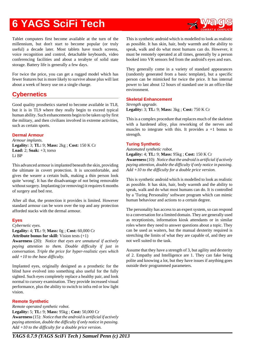Tablet computers first become available at the turn of the millennium, but don't start to become popular (or truly useful) a decade later. Most tablets have touch screens, voice recognition and control, detachable keyboards, video conferencing facilities and about a terabyte of solid state storage. Battery life is generally a few days.

For twice the price, you can get a rugged model which has fewer features but is more likely to survive abuse plus will last about a week of heavy use on a single charge.

## **Cybernetics**

Good quality prosthetics started to become available in TL8, but it is in TL9 where they really begin to exceed typical human ability. Such enhancements begin to be taken up by first the military, and then civilians involved in extreme activities, such as certain sports.

## **Dermal Armour**

*Armour implants.* **Legality:** 3; **TL:** 9; **Mass:** 2kg ; **Cost:** 150 K Cr **Load:** 2; **Soak:** +3; torso Li BP

This advanced armour is implanted beneath the skin, providing the ultimate in covert protection. It is uncomfortable, and gives the wearer a certain bulk, making a thin person look quite 'wrong'. It has the disadvantage of not being removable without surgery. Implanting (or removing) it requires 6 months of surgery and bed rest.

After all that, the protection it provides is limited. However standard armour can be worn over the top and any protection afforded stacks with the dermal armour.

## **Eyes**

*Cybernetic eyes.*

**Legality:** 4; **TL:** 9; **Mass:** 0g ; **Cost:** 60,000 Cr **Attribute bonus for skill:** Vision tests (+1)

**Awareness** (20): *Notice that eyes are unnatural if actively paying attention to them. Double difficulty if just in conversation. Triple the price for hyper-realistic eyes which add +10 to the base difficulty.*

Implanted eyes, originally designed as a prosthetic for the blind have evolved into something also useful for the fully sighted. Such eyes completely replace a healthy pair, and look normal to cursory examination. They provide increased visual performance, plus the ability to switch to infra red or low light vision.

## **Remote Synthetic**

*Remote operated synthetic robot.* **Legality:** 5; **TL:** 9; **Mass:** 95kg ; **Cost:** 50,000 Cr **Awareness** (15): *Notice that the android is artificial if actively paying attention, double the difficulty if only notice in passing. Add +10 to the difficulty for a double price version.*

This is synthetic android which is modelled to look as realistic as possible. It has skin, hair, body warmth and the ability to speak, walk and do what most humans can do. However, it must be remotely operated at all times, generally by a person hooked into VR sensors fed from the android's eyes and ears.

They generally come in a variety of standard appearances (randomly generated from a basic template), but a specific person can be mimicked for twice the price. It has internal power to last about 12 hours of standard use in an office-like environment.

#### **Skeletal Enhancement**

*Strength upgrade.* **Legality:** 3; **TL:** 9; **Mass:** 3kg ; **Cost:** 750 K Cr

This is a complex procedure that replaces much of the skeleton with a hardened alloy, plus reworking of the nerves and muscles to integrate with this. It provides a +1 bonus to strength.

#### **Turing Synthetic**

*Automated synthetic robot.*

**Legality:** 4; **TL:** 9; **Mass:** 95kg ; **Cost:** 150 K Cr **Awareness** (10): *Notice that the android is artificial if actively paying attention, double the difficulty if only notice in passing. Add +10 to the difficulty for a double price version.*

This is synthetic android which is modelled to look as realistic as possible. It has skin, hair, body warmth and the ability to speak, walk and do what most humans can do. It is controlled by a 'Turing Personality' software program which can mimic human behaviour and actions to a certain degree.

The personality has access to an expert system, so can respond to a conversation for a limited domain. They are generally used as receptionists, information kiosk attendants or in similar roles where they need to answer questions about a topic. They can be used as waiters, but the manual dexterity required is stretching the limits of what they are capable of, and they are not well suited to the task.

Assume that they have a strength of 3, but agility and dexterity of 2. Empathy and Intelligence are 1. They can fake being polite and knowing a lot, but they have issues if anything goes outside their programmed parameters.

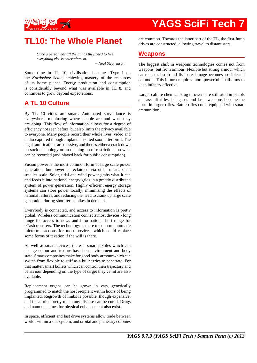

## **TL10: The Whole Planet**

*Once a person has all the things they need to live, everything else is entertainment.*

*-- Neal Stephenson*

Some time in TL 10, civilisation becomes Type I on the *Kardashev Scale*, achieving mastery of the resources of its home planet. Energy production and consumption is considerably beyond what was available in TL 8, and continues to grow beyond expectations.

## **A TL 10 Culture**

By TL 10 cities are smart. Automated surveillance is everywhere, monitoring where people are and what they are doing. This flow of information allows for a degree of efficiency not seen before, but also limits the privacy available to everyone. Many people record their whole lives, video and audio captured though implants inserted soon after birth. The legal ramifications are massive, and there's either a crack down on such technology or an opening up of restrictions on what can be recorded (and played back for public consumption).

Fusion power is the most common form of large scale power generation, but power is reclaimed via other means on a smaller scale. Solar, tidal and wind power grabs what it can and feeds it into national energy grids in a greatly distributed system of power generation. Highly efficient energy storage systems can store power locally, minimising the effects of national failures, and reducing the need to crank up large scale generation during short term spikes in demand.

Everybody is connected, and access to information is pretty global. Wireless communication connects most devices - long range for access to news and information, short range for eCash transfers. The technology is there to support automatic micro-transactions for most services, which could replace some forms of taxation if the will is there.

As well as smart devices, there is smart textiles which can change colour and texture based on environment and body state. Smart composites make for good body armour which can switch from flexible to stiff as a bullet tries to penetrate. For that matter, smart bullets which can control their trajectory and behaviour depending on the type of target they've hit are also available.

Replacement organs can be grown in vats, genetically programmed to match the host recipient within hours of being implanted. Regrowth of limbs is possible, though expensive, and for a price pretty much any disease can be cured. Drugs and nano machines for physical enhancement also exist.

In space, efficient and fast drive systems allow trade between worlds within a star system, and orbital and planetary colonies are common. Towards the latter part of the TL, the first Jump drives are constructed, allowing travel to distant stars.

## **Weapons**

The biggest shift in weapons technologies comes not from weapons, but from armour. Flexible but strong armour which can react to absorb and dissipate damage becomes possible and common. This in turn requires more powerful small arms to keep infantry effective.

Larger calibre chemical slug throwers are still used in pistols and assault rifles, but gauss and laser weapons become the norm in larger rifles. Battle rifles come equipped with smart ammunition.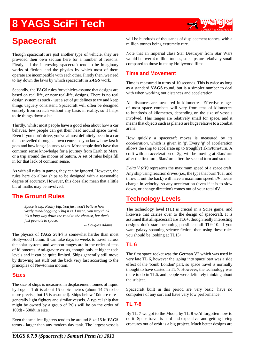

## **Spacecraft**

Though spacecraft are just another type of vehicle, they are provided their own section here for a number of reasons. Firstly, all the interesting spacecraft tend to be imaginary works of fiction, and the physics by which most of them operate are incompatible with each other. Firstly then, we need to lay down the laws by which spacecraft in *YAGS* work.

Secondly, the *YAGS* rules for vehicles assume that designs are based on real life, or near real-life, designs. There is no real design system as such - just a set of guidelines to try and keep things vaguely consistent. Spacecraft will often be designed entirely from scratch without any basis in reality, so it helps to tie things down a bit.

Thirdly, whilst most people have a good idea about how a car behaves, few people can get their head around space travel. Even if you don't drive, you've almost definitely been in a car that's travelled through a town centre, so you know how fast it goes and how long a journey takes. Most people don't have that common sense knowledge for a journey from Earth to Mars, or a trip around the moons of Saturn. A set of rules helps fill in for that lack of common sense.

As with all rules in games, they can be ignored. However, the rules here do allow ships to be designed with a reasonable degree of accuracy. However, this does also mean that a little bit of maths may be involved.

## **The Ground Rules**

*Space is big. Really big. You just won't believe how vastly mind-bogglingly big it is. I mean, you may think it's a long way down the road to the chemist, but that's just peanuts to space.*

*-- Douglas Adams*

The physics of *YAGS SciFi* is somewhat harder than most Hollywood fiction. It can take days to weeks to travel across the solar system, and weapon ranges are in the order of tens of kilometres. Anti-gravity exists, though only at higher tech levels and it can be quite limited. Ships generally still move by throwing hot stuff out the back very fast according to the principles of Newtonian motion.

#### **Sizes**

The size of ships is measured in displacement tonnes of liquid hydrogen. 1 dt is about 15 cubic metres (about 14.75 to be more precise, but 15 is assumed). Ships below 10dt are rare generally light fighters and similar vessels. A typical ship that might be owned by a group of PC's will be on the order of 100dt - 500dt in size.

Even the smallest fighters tend to be around Size 15 in *YAGS* terms - larger than any modern day tank. The largest vessels

will be hundreds of thousands of displacement tonnes, with a million tonnes being extremely rare.

Note that an Imperial class Star Destroyer from Star Wars would be over 4 million tonnes, so ships are relatively small compared to those in many Hollywood films.

### **Time and Movement**

Time is measured in turns of 10 seconds. This is twice as long as a standard **YAGS** round, but is a simpler number to deal with when working out distances and acceleration.

All distances are measured in kilometres. Effective ranges of most space combats will vary from tens of kilometres to hundreds of kilometres, depending on the size of vessels involved. This ranges are relatively small for space, and it means that objects such as planets are huge relative to a combat arena.

How quickly a spacecraft moves is measured by its *acceleration*, which is given in 'g'. Every 'g' of acceleration allows the ship to accelerate up to (roughly) 1km/turn/turn. A craft with an acceleration of 3g, will be moving at 3km/turn after the first turn, 6km/turn after the second turn and so on.

*Delta V (dV)* represents the maximum speed of a space craft. Any ship using reaction drives (i.e., the type that burn 'fuel' and throw it out the back) will have a maximum speed. *dV* means change in velocity, so any acceleration (even if it is to slow down, or change direction) comes out of your total dV.

## **Technology Levels**

The technology level (TL) is crucial in a SciFi game, and likewise that carries over to the design of spacecraft. It is assumed that all spacecraft are TL6+, though really interesting designs don't start becoming possible until TL9-10. If you want galaxy spanning science fiction, then using these rules you should be looking at TL13+

## **TL 6**

The first space rocket was the German V2 which was used in very late TL 6, however the 'going into space' part was a side effect of the 'bomb London' part, so space travel is normally thought to have started in TL 7. However, the technology was there to do in TL6, and people were definitely thinking about the subject.

Spacecraft built in this period are very basic, have no computers of any sort and have very low performance.

## **TL 7-8**

By TL 7 we got to the Moon, by TL 8 we'd forgotten how to do it. Space travel is hard and expensive, and getting living creatures out of orbit is a big project. Much better designs are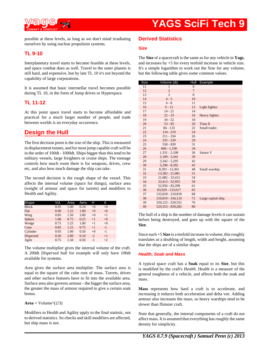

possible at these levels, as long as we don't mind irradiating ourselves by using nuclear propulsion systems.

### **TL 9-10**

Interplanetary travel starts to become feasible at these levels, and space combat does as well. Travel to the outer planets is still hard, and expensive, but by late TL 10 it's not beyond the capability of large corporations.

It is assumed that basic interstellar travel becomes possible during TL 10, in the form of Jump drives or Hyperspace.

### **TL 11-12**

At this point space travel starts to become affordable and practical for a much larger number of people, and trade between worlds is an everyday occurrence.

## **Design the Hull**

The first decision point is the size of the ship. This is measured in displacement tonnes, and for most jump capable craft will be in the order of 100dt - 1000dt. Ships bigger than this tend to be military vessels, large freighters or cruise ships. The tonnage controls how much room there is for weapons, drives, crew etc, and also how much damage the ship can take.

The second decision is the rough shape of the vessel. This affects the internal volume (space for things), surface area (weight of armour and space for turrets) and modifiers to Health and Agility.

| Shape            | Vol. | Area | Aero. | н    | А    |  |
|------------------|------|------|-------|------|------|--|
| <b>Block</b>     | 0.95 | 1.00 | 0.10  | $+0$ | $+0$ |  |
| Flat             | 0.90 | 1.25 | 1.00  | $+0$ | $+0$ |  |
| Wing             | 0.85 | 1.50 | 3.00  | $+0$ | $+1$ |  |
| Sphere           | 1.00 | 0.75 | 0.25  | $+1$ | $+0$ |  |
| Wedge            | 0.75 | 1.25 | 1.00  | $+1$ | $+0$ |  |
| Cone             | 0.85 | 1.25 | 0.75  | $+1$ | $-1$ |  |
| Cylinder         | 0.95 | 1.00 | 0.50  | $+0$ | $-1$ |  |
| <b>Dispersed</b> | 0.50 | 2.00 | 0.10  | $-2$ | $+1$ |  |
| Agile            | 0.75 | 1.50 | 0.50  | $-1$ | $+2$ |  |

The volume multiplier gives the internal volume of the craft. A 200dt *Dispersed* hull for example will only have 100dt available for systems.

Area gives the surface area multiplier. The surface area is equal to the square of the cube root of mass. Turrets, drives and other surface features have to fit into the available area. Surface area also governs armour - the bigger the surface area, the greater the mass of armour required to give a certain soak bonus.

#### $Area = Volume^{\wedge}(2/3)$

Modifiers to Health and Agility apply to the final statistic, not to derived statistics. So checks and skill modifiers are affected, but ship mass is not.

### **Derived Statistics**

#### **Size**

The **Size** of a spacecraft is the same as for any vehicle in **Yags**, and increases by +5 for every tenfold increase in vehicle size. It's a simple logarithm to work out the Size for any volume, but the following table gives some common values.

| Size | Volume (dt)       | Hull           | Example             |
|------|-------------------|----------------|---------------------|
| 11   | 1                 | 6              |                     |
| 12   | $\overline{2}$    | $\overline{7}$ |                     |
| 13   | 3                 | 8              |                     |
| 14   | $4 - 5$           | 10             |                     |
| 15   | $6 - 8$           | 11             |                     |
| 16   | $9 - 13$          | 13             | Light fighter.      |
| 17   | $14 - 21$         | 14             |                     |
| 18   | $22 - 33$         | 16             | Heavy fighter.      |
| 19   | $34 - 52$         | 18             |                     |
| 20   | $53 - 83$         | 20             | Titan II            |
| 21   | $84 - 133$        | 22             | Small trader.       |
| 22   | $134 - 210$       | 24             |                     |
| 23   | $211 - 334$       | 26             |                     |
| 24   | $335 - 529$       | 29             |                     |
| 25   | $530 - 839$       | 31             |                     |
| 26   | $840 - 1.330$     | 34             |                     |
| 27   | $1,331 - 2,108$   | 36             | Saturn V            |
| 28   | $2,109 - 3,341$   | 39             |                     |
| 29   | $3,342 - 5,295$   | 42             |                     |
| 30   | $5,296 - 8,392$   | 45             |                     |
| 31   | 8.393 - 13.301    | 48             | Small warship.      |
| 32   | 13,302 - 21,081   | 51             |                     |
| 33   | 21.082 - 33.412   | 54             |                     |
| 34   | 33,413 - 52,955   | 58             |                     |
| 35   | 52,956 - 83,298   | 61             |                     |
| 36   | 83.929 - 133.017  | 65             |                     |
| 37   | 133,018 - 210,818 | 68             |                     |
| 38   | 210,819 - 334,124 | 72             | Large capital ship. |
| 39   | 334,125 - 529,552 | 76             |                     |
| 40   | 529.553 - 839.283 | 80             |                     |

The hull of a ship is the number of damage levels it can sustain before being destroyed, and goes up with the square of the **Size**.

Since each +5 **Size** is a tenfold increase in volume, this roughly translates as a doubling of length, width and height, assuming that the ships are of a similar shape.

#### **Health, Soak and Mass**

A typical space craft has a **Soak** equal to its **Size**, but this is modified by the craft's *Health*. Health is a measure of the general toughness of a vehicle, and affects both the soak and mass.

**Mass** represents how hard a craft is to accelerate, and increasing it reduces both acceleration and delta vee. Adding armour also increases the mass, so heavy warships tend to be slower than flimsier craft.

Note that generally, the internal components of a craft do not affect mass. It is assumed that everything has roughly the same density for simplicity.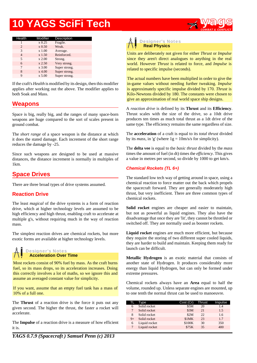

| Health         | Modifier            | Description   |
|----------------|---------------------|---------------|
|                | $x\,0.25$           | Fragile.      |
| $\mathfrak{D}$ | $\rm x 0.50$        | Weak.         |
| 3              | x 1.00              | Average.      |
| 4              | x 1.50              | Reinforced.   |
| 5              | $x\,2.00$           | Strong.       |
| 6              | $x\,2.50$           | Very strong.  |
| 7              | $\overline{x}$ 3.00 | Super strong. |
| 8              | $x$ 4.00            | Super strong. |
| 9              | $\rm x 5.00$        | Super strong. |
|                |                     |               |

If the craft's *Health* is modified by its design, then this modifier applies after working out the above. The modifier applies to both Soak and Mass.

## **Weapons**

Space is big, really big, and the ranges of many space-born weapons are huge compared to the sort of scales present in ground combat.

The *short range* of a space weapon is the distance at which it does the stated damage. Each increment of the short range reduces the damage by -25.

Since such weapons are designed to be used at massive distances, the distance increment is normally in multiples of 1km.

## **Space Drives**

There are three broad types of drive systems assumed.

### **Reaction Drive**

The least *magical* of the drive systems is a form of reaction drive, which at higher technology levels are assumed to be high efficiency and high thrust, enabling craft to accelerate at multiple g's, without requiring much in the way of reaction mass.

The simplest reaction drives are chemical rockets, but more exotic forms are available at higher technology levels.

#### **Designer's Not es Acceleration Over Time**

Most rockets consist of 90% fuel by mass. As the craft burns fuel, so its mass drops, so its acceleration increases. Doing this correctly involves a lot of maths, so we ignore this and assume an averaged constant value for simplicity.

If you want, assume that an empty fuel tank has a mass of 10% of a full one.

The **Thrust** of a reaction drive is the force it puts out any given second. The higher the thrust, the faster a rocket will accelerate.

The **Impulse** of a reaction drive is a measure of how efficient it is.



Units are deliberately not given for either *Thrust* or *Impulse* since they aren't direct analogues to anything in the real world. However *Thrust* is related to force, and *Impulse* is related to specific impulse (seconds).

The actual numbers have been multiplied in order to give the in-game values without needing further tweaking. *Impulse* is approximately specific impulse divided by 170. *Thrust* is Kilo-Newtons divided by 180. The constants were chosen to give an approximation of real world space ship designs.

A *reaction drive* is defined by its **Thrust** and its **Efficiency**. Thrust scales with the size of the drive, so a 10dt drive produces ten times as much total thrust as a 1dt drive of the same type. The efficiency remains the same regardless of size.

The **acceleration** of a craft is equal to its *total thrust* divided by its *mass*, in 'g' (where  $1g = 10m/s/s$  for simplicity).

The **delta vee** is equal to the *basic thrust* divided by the *mass* times the amount of fuel (in dt) times the *efficiency*. This gives a value in metres per second, so divide by 1000 to get km/s.

#### **Chemical Rockets (TL 6+)**

The standard low tech way of getting around in space, using a chemical reaction to force matter out the back which propels the spacecraft forward. They are generally moderately high thrust, but very inefficient. There are three common types of chemical rockets.

**Solid rocket** engines are cheaper and easier to maintain, but not as powerful as liquid engines. They also have the disadvantage that once they are 'lit', they cannot be throttled or switched off. They are normally used as booster rockets.

**Liquid rocket** engines are much more efficient, but because they require the storing of two different super cooled liquids, they are harder to build and maintain. Keeping them ready for launch can be difficult.

**Metallic Hydrogen** is an exotic material that consists of another state of Hydrogen. It produces considerably more energy than liquid Hydrogen, but can only be formed under extreme pressures.

Chemical rockets always have an **Area** equal to half the volume, rounded up. Unless separate engines are mounted, up to one tenth the normal thrust can be used to manoeuvre.

|      | Tvpe          | Cost (Cr) | Thrust | Impulse |
|------|---------------|-----------|--------|---------|
| 6    | Solid rocket  | \$5M      | 20     | 1.4     |
|      | Solid rocket  | \$3M      | 21     | 1.5     |
| 8    | Solid rocket  | \$2M      | 22.    | 1.6     |
| $9+$ | Solid rocket  | \$1MK     | 23     | 1.7     |
| 6    | Liquid rocket | \$100K    | 30     | 350     |
|      | Liquid rocket | \$75K     | 35     | 400     |

*YAGS 0.7.9 (Spacecraft ) Samuel Penn (c) 2013*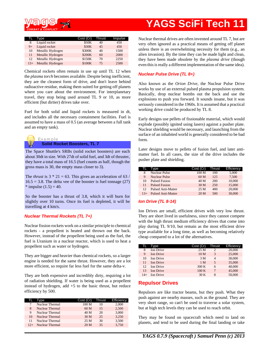

| TL .  | Type              | Cost (Cr) | Thrust | Impulse |
|-------|-------------------|-----------|--------|---------|
| 8     | Liquid rocket     | \$50K     | 40     | 450     |
| $9+$  | Liquid rocket     | \$30K     | 45     | 450     |
| 10    | Metallic Hydrogen | \$300K    | 40     | 1500    |
| 11    | Metallic Hydrogen | \$200K    | 60     | 2000    |
| 12    | Metallic Hydrogen | \$150K    | 70     | 2250    |
| $13+$ | Metallic Hydrogen | \$100K    | 75     | 2500    |

Chemical rockets often remain in use up until TL 12 when the *plasma torch* becomes available. Despite being inefficient, they are the cleanest form of drive, and don't leave behind radioactive residue, making them suited for getting off planets where you care about the environment. For interplanetary travel, they stop being used around TL 9 or 10, as more efficient (but dirtier) drives take over.

Fuel for both solid and liquid rockets is measured in dt, and includes all the necessary containment facilities. Fuel is assumed to have a mass of 0.5 (an average between a full tank and an empty tank).



The Space Shuttle's SRBs (solid rocket boosters) are each about 30dt in size. With 27dt of solid fuel, and 3dt of thruster, they have a total mass of 16.5 (fuel counts as half, though the gross mass is 30, the empty mass closer to 3).

The *thrust* is  $3 * 21 = 63$ . This gives an acceleration of 63 /  $16.5 = 3.8$ . The delta vee of the booster is fuel tonnage (27) \* impulse  $(1.5) = 40$ .

So the booster has a thrust of 3.8, which it will burn for slightly over 10 turns. Once its fuel is depleted, it will be travelling at 4 km/s.

#### **Nuclear Thermal Rockets (TL 7+)**

Nuclear fission rockets work on a similar principle to chemical rockets - a propellent is heated and thrown out the back. However, instead of the propellent being used as the fuel, the fuel is Uranium in a nuclear reactor, which is used to heat a propellent such as water or hydrogen.

They are bigger and heavier than chemical rockets, so a larger engine is needed for the same thrust. However, they are a lot more efficient, so require far less fuel for the same delta-v.

They are both expensive and incredibly dirty, requiring a lot of radiation shielding. If water is being used as a propellent instead of hydrogen, add  $+5$  to the basic thrust, but reduce efficiency by 500.

|       | Type                   | Cost (Cr)        | Thrust | <b>Efficiency</b> |
|-------|------------------------|------------------|--------|-------------------|
|       | Nuclear Thermal        | 100 <sub>M</sub> | 10     | 2,000             |
| 8     | Nuclear Thermal        | 60 <sub>M</sub>  | 15     | 2,500             |
| 9     | Nuclear Thermal        | 40 M             | 20     | 3,000             |
| 10    | <b>Nuclear Thermal</b> | 30 M             | 25     | 3,250             |
| 11    | Nuclear Thermal        | 25 M             | 30     | 3,500             |
| $12+$ | Nuclear Thermal        | 20 M             | 35     | 3,750             |

Nuclear thermal drives are often invented around TL 7, but are very often ignored as a practical means of getting off planet unless there is an overwhelming necessity for them (e.g., an alien invasion). By the time they can be made light and clean, they have been made obsolete by the *plasma drive* (though even this is really a different implementation of the same idea).

#### **Nuclear Pulse Drive (TL 8+)**

Also known as the *Orion Drive*, the Nuclear Pulse Drive works by use of an external pulsed plasma propulsion system. Basically, drop nuclear bombs out the back and use the explosions to push you forward. It sounds insane, but it was seriously considered in the 1960s. It is assumed that a practical working drive could be produced by TL 8.

Early designs use pellets of fissionable material, which would explode (possibly ignited using lasers) against a pusher plate. Nuclear shielding would be necessary, and launching from the surface of an inhabited world is generally considered to be bad form.

Later designs move to pellets of fusion fuel, and later antimatter fuel. In all cases, the size of the drive includes the pusher plate and shielding.

|    | Type                      | Cost (Cr)        | <b>Thrust</b> | <b>Efficiency</b> |
|----|---------------------------|------------------|---------------|-------------------|
| 8  | <b>Nuclear Pulse</b>      | 100 <sub>M</sub> | 100           | 5,000             |
| 9  | <b>Nuclear Pulse</b>      | 60 <sub>M</sub>  | 125           | 7.500             |
| 10 | <b>Pulsed Fusion</b>      | 40 M             | 200           | 10,000            |
| 11 | <b>Pulsed Fusion</b>      | 30 M             | 250           | 15,000            |
| 12 | <b>Pulsed Anti-Matter</b> | 25M              | 400           | 20,000            |
|    | <b>Pulsed Anti-Matter</b> | 20 M             | 500           | 30,000            |

#### **Ion Drive (TL 8-14)**

Ion Drives are small, efficient drives with very low thrust. They are short lived in usefulness, since they cannot compete with the high thrust medium efficiency drives that come into play during TL 9/10, but remain as the most efficient drive type available for a long time, as well as becoming relatively cheap compared to a lot of the alternatives.

| TL.   | Type             | Cost (Cr)       | Thrust         | <b>Efficiency</b> |
|-------|------------------|-----------------|----------------|-------------------|
| 8     | <b>Ion Drive</b> | 25M             | $\overline{c}$ | 20,000            |
| 9     | <b>Ion Drive</b> | 10 <sub>M</sub> | 3              | 25,000            |
| 10    | <b>Ion Drive</b> | 3 M             | 4              | 30,000            |
| 11    | <b>Ion Drive</b> | 1 M             | 5              | 35,000            |
| 12    | <b>Ion Drive</b> | 300K            | 6              | 40,000            |
| 13    | <b>Ion Drive</b> | 100K            | 7              | 45,000            |
| $14+$ | <b>Ion Drive</b> | 30K             | 8              | 50,000            |

### **Repulsor Drives**

Repulsors are like tractor beams, but they push. What they push against are nearby masses, such as the ground. They are very short range, so can't be used to traverse a solar system, but at high tech levels they can be used to reach orbit.

They may be found on spacecraft which need to land on planets, and tend to be used during the final landing or take